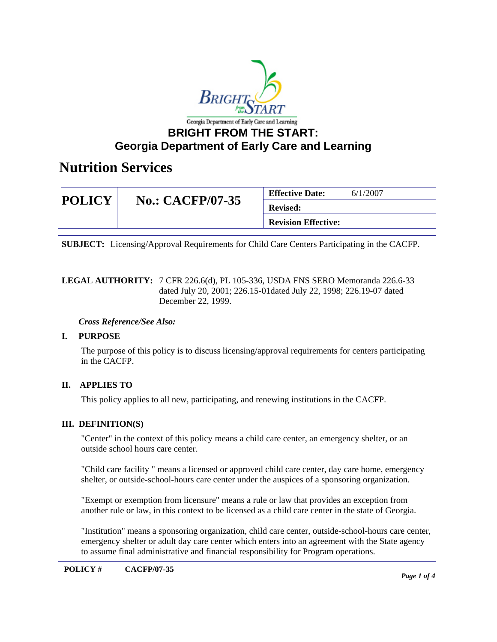

## **BRIGHT FROM THE START: Georgia Department of Early Care and Learning**

# **Nutrition Services**

| <b>POLICY</b> | <b>No.: CACFP/07-35</b> | <b>Effective Date:</b>     | 6/1/2007 |
|---------------|-------------------------|----------------------------|----------|
|               |                         | <b>Revised:</b>            |          |
|               |                         | <b>Revision Effective:</b> |          |

**SUBJECT:** Licensing/Approval Requirements for Child Care Centers Participating in the CACFP.

LEGAL AUTHORITY: 7 CFR 226.6(d), PL 105-336, USDA FNS SERO Memoranda 226.6-33 dated July 20, 2001; 226.15-01dated July 22, 1998; 226.19-07 dated December 22, 1999.

#### *Cross Reference/See Also:*

### **I. PURPOSE**

The purpose of this policy is to discuss licensing/approval requirements for centers participating in the CACFP.

### **II. APPLIES TO**

This policy applies to all new, participating, and renewing institutions in the CACFP.

### **III. DEFINITION(S)**

"Center" in the context of this policy means a child care center, an emergency shelter, or an outside school hours care center.

"Child care facility " means a licensed or approved child care center, day care home, emergency shelter, or outside-school-hours care center under the auspices of a sponsoring organization.

"Exempt or exemption from licensure" means a rule or law that provides an exception from another rule or law, in this context to be licensed as a child care center in the state of Georgia.

"Institution" means a sponsoring organization, child care center, outside-school-hours care center, emergency shelter or adult day care center which enters into an agreement with the State agency to assume final administrative and financial responsibility for Program operations.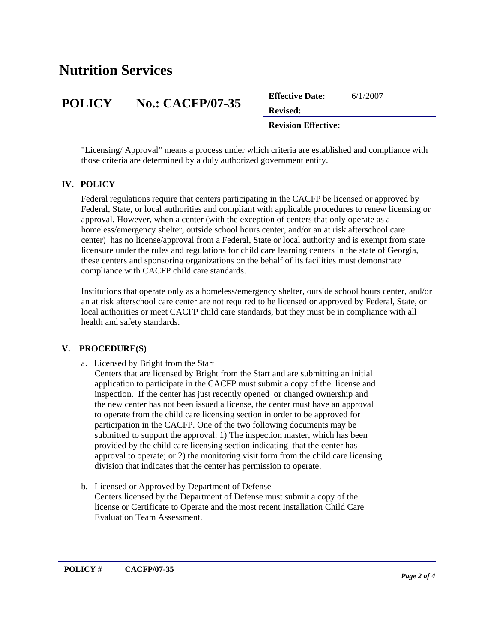# **Nutrition Services**

|               |                         | <b>Effective Date:</b>     | 6/1/2007 |
|---------------|-------------------------|----------------------------|----------|
| <b>POLICY</b> | <b>No.: CACFP/07-35</b> | <b>Revised:</b>            |          |
|               |                         | <b>Revision Effective:</b> |          |

"Licensing/ Approval" means a process under which criteria are established and compliance with those criteria are determined by a duly authorized government entity.

### **IV. POLICY**

Federal regulations require that centers participating in the CACFP be licensed or approved by Federal, State, or local authorities and compliant with applicable procedures to renew licensing or approval. However, when a center (with the exception of centers that only operate as a homeless/emergency shelter, outside school hours center, and/or an at risk afterschool care center) has no license/approval from a Federal, State or local authority and is exempt from state licensure under the rules and regulations for child care learning centers in the state of Georgia, these centers and sponsoring organizations on the behalf of its facilities must demonstrate compliance with CACFP child care standards.

Institutions that operate only as a homeless/emergency shelter, outside school hours center, and/or an at risk afterschool care center are not required to be licensed or approved by Federal, State, or local authorities or meet CACFP child care standards, but they must be in compliance with all health and safety standards.

#### **V. PROCEDURE(S)**

a. Licensed by Bright from the Start

 Centers that are licensed by Bright from the Start and are submitting an initial application to participate in the CACFP must submit a copy of the license and inspection. If the center has just recently opened or changed ownership and the new center has not been issued a license, the center must have an approval to operate from the child care licensing section in order to be approved for participation in the CACFP. One of the two following documents may be submitted to support the approval: 1) The inspection master, which has been provided by the child care licensing section indicating that the center has approval to operate; or 2) the monitoring visit form from the child care licensing division that indicates that the center has permission to operate.

b. Licensed or Approved by Department of Defense Centers licensed by the Department of Defense must submit a copy of the license or Certificate to Operate and the most recent Installation Child Care Evaluation Team Assessment.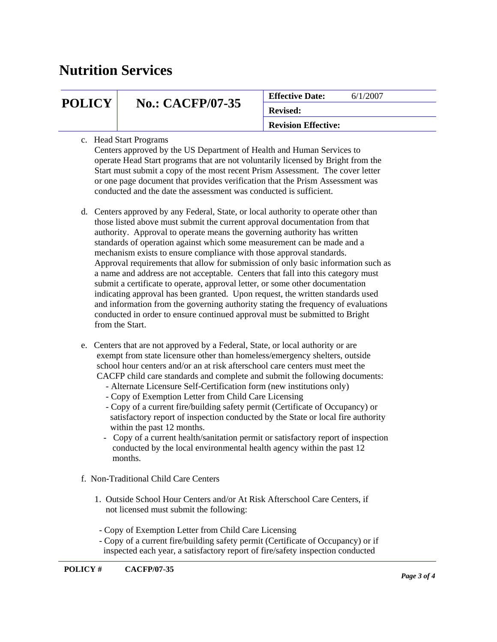# **Nutrition Services**

| <b>POLICY</b> | <b>No.: CACFP/07-35</b> | <b>Effective Date:</b>     | 6/1/2007 |
|---------------|-------------------------|----------------------------|----------|
|               |                         | <b>Revised:</b>            |          |
|               |                         | <b>Revision Effective:</b> |          |

#### c. Head Start Programs

 Centers approved by the US Department of Health and Human Services to operate Head Start programs that are not voluntarily licensed by Bright from the Start must submit a copy of the most recent Prism Assessment. The cover letter or one page document that provides verification that the Prism Assessment was conducted and the date the assessment was conducted is sufficient.

- d. Centers approved by any Federal, State, or local authority to operate other than those listed above must submit the current approval documentation from that authority. Approval to operate means the governing authority has written standards of operation against which some measurement can be made and a mechanism exists to ensure compliance with those approval standards. Approval requirements that allow for submission of only basic information such as a name and address are not acceptable. Centers that fall into this category must submit a certificate to operate, approval letter, or some other documentation indicating approval has been granted. Upon request, the written standards used and information from the governing authority stating the frequency of evaluations conducted in order to ensure continued approval must be submitted to Bright from the Start.
- e. Centers that are not approved by a Federal, State, or local authority or are exempt from state licensure other than homeless/emergency shelters, outside school hour centers and/or an at risk afterschool care centers must meet the CACFP child care standards and complete and submit the following documents:
	- Alternate Licensure Self-Certification form (new institutions only)
	- Copy of Exemption Letter from Child Care Licensing
	- Copy of a current fire/building safety permit (Certificate of Occupancy) or satisfactory report of inspection conducted by the State or local fire authority within the past 12 months.
	- Copy of a current health/sanitation permit or satisfactory report of inspection conducted by the local environmental health agency within the past 12 months.
- f. Non-Traditional Child Care Centers
	- 1. Outside School Hour Centers and/or At Risk Afterschool Care Centers, if not licensed must submit the following:
	- Copy of Exemption Letter from Child Care Licensing
	- Copy of a current fire/building safety permit (Certificate of Occupancy) or if inspected each year, a satisfactory report of fire/safety inspection conducted